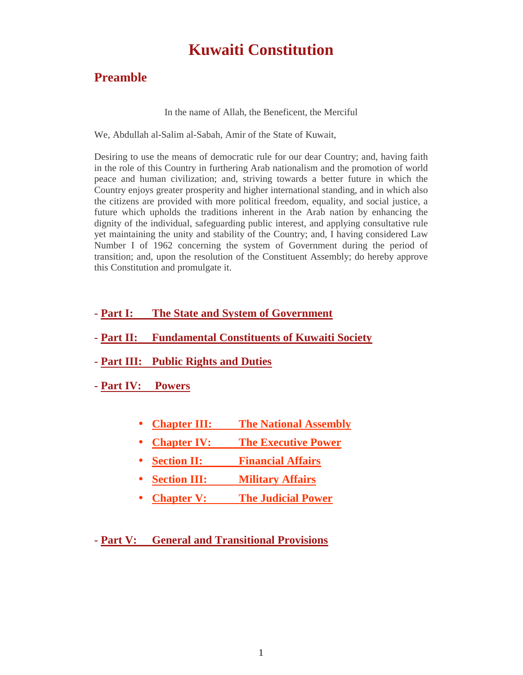# **Kuwaiti Constitution**

# **Preamble**

In the name of Allah, the Beneficent, the Merciful

We, Abdullah al-Salim al-Sabah, Amir of the State of Kuwait,

Desiring to use the means of democratic rule for our dear Country; and, having faith in the role of this Country in furthering Arab nationalism and the promotion of world peace and human civilization; and, striving towards a better future in which the Country enjoys greater prosperity and higher international standing, and in which also the citizens are provided with more political freedom, equality, and social justice, a future which upholds the traditions inherent in the Arab nation by enhancing the dignity of the individual, safeguarding public interest, and applying consultative rule yet maintaining the unity and stability of the Country; and, I having considered Law Number I of 1962 concerning the system of Government during the period of transition; and, upon the resolution of the Constituent Assembly; do hereby approve this Constitution and promulgate it.

# **- Part I: The State and System of Government**

- **- Part II: Fundamental Constituents of Kuwaiti Society**
- **- Part III: Public Rights and Duties**

**- Part IV: Powers**

- **Chapter III: The National Assembly**
- **Chapter IV:** The **Executive Power**
- **Section II: Financial Affairs**
- **Section III: Military Affairs**
- **Chapter V: The Judicial Power**

**- Part V: General and Transitional Provisions**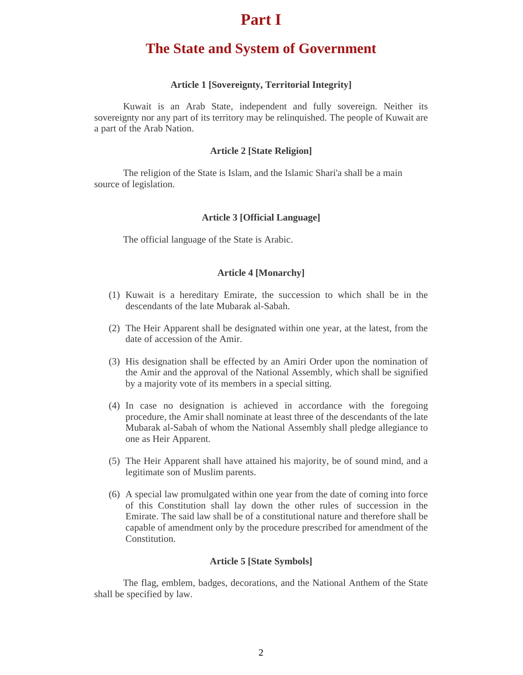# **Part I**

# **The State and System of Government**

# **Article 1 [Sovereignty, Territorial Integrity]**

Kuwait is an Arab State, independent and fully sovereign. Neither its sovereignty nor any part of its territory may be relinquished. The people of Kuwait are a part of the Arab Nation.

# **Article 2 [State Religion]**

The religion of the State is Islam, and the Islamic Shari'a shall be a main source of legislation.

# **Article 3 [Official Language]**

The official language of the State is Arabic.

# **Article 4 [Monarchy]**

- (1) Kuwait is a hereditary Emirate, the succession to which shall be in the descendants of the late Mubarak al-Sabah.
- (2) The Heir Apparent shall be designated within one year, at the latest, from the date of accession of the Amir.
- (3) His designation shall be effected by an Amiri Order upon the nomination of the Amir and the approval of the National Assembly, which shall be signified by a majority vote of its members in a special sitting.
- (4) In case no designation is achieved in accordance with the foregoing procedure, the Amir shall nominate at least three of the descendants of the late Mubarak al-Sabah of whom the National Assembly shall pledge allegiance to one as Heir Apparent.
- (5) The Heir Apparent shall have attained his majority, be of sound mind, and a legitimate son of Muslim parents.
- (6) A special law promulgated within one year from the date of coming into force of this Constitution shall lay down the other rules of succession in the Emirate. The said law shall be of a constitutional nature and therefore shall be capable of amendment only by the procedure prescribed for amendment of the Constitution.

## **Article 5 [State Symbols]**

The flag, emblem, badges, decorations, and the National Anthem of the State shall be specified by law.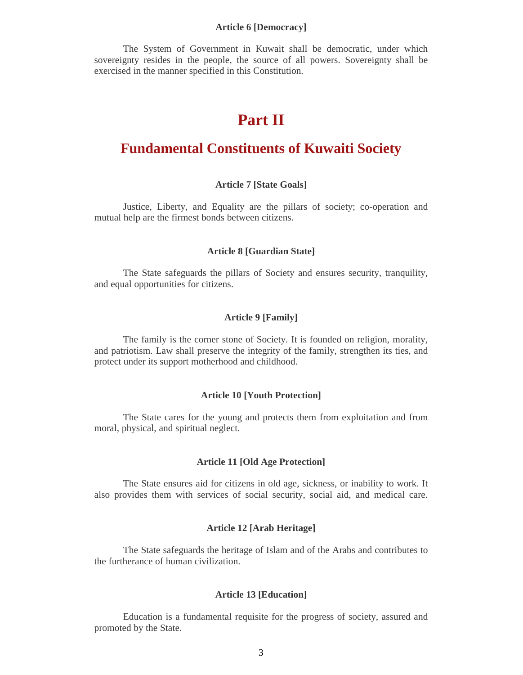#### **Article 6 [Democracy]**

The System of Government in Kuwait shall be democratic, under which sovereignty resides in the people, the source of all powers. Sovereignty shall be exercised in the manner specified in this Constitution.

# **Part II**

# **Fundamental Constituents of Kuwaiti Society**

#### **Article 7 [State Goals]**

Justice, Liberty, and Equality are the pillars of society; co-operation and mutual help are the firmest bonds between citizens.

# **Article 8 [Guardian State]**

The State safeguards the pillars of Society and ensures security, tranquility, and equal opportunities for citizens.

#### **Article 9 [Family]**

The family is the corner stone of Society. It is founded on religion, morality, and patriotism. Law shall preserve the integrity of the family, strengthen its ties, and protect under its support motherhood and childhood.

#### **Article 10 [Youth Protection]**

The State cares for the young and protects them from exploitation and from moral, physical, and spiritual neglect.

# **Article 11 [Old Age Protection]**

The State ensures aid for citizens in old age, sickness, or inability to work. It also provides them with services of social security, social aid, and medical care.

#### **Article 12 [Arab Heritage]**

The State safeguards the heritage of Islam and of the Arabs and contributes to the furtherance of human civilization.

#### **Article 13 [Education]**

Education is a fundamental requisite for the progress of society, assured and promoted by the State.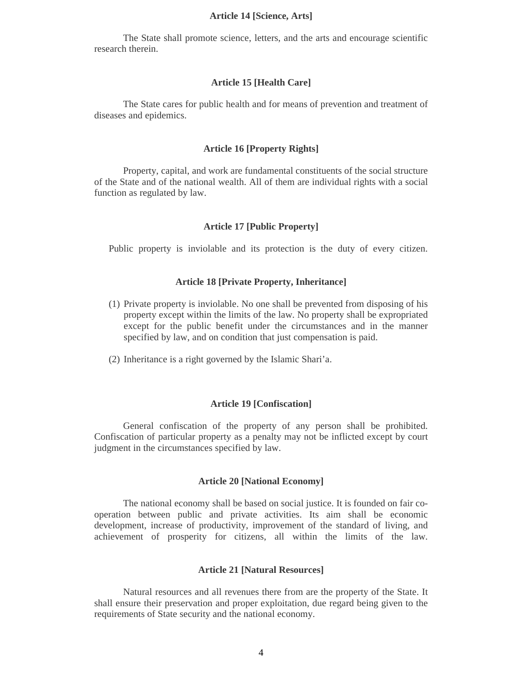#### **Article 14 [Science, Arts]**

The State shall promote science, letters, and the arts and encourage scientific research therein.

#### **Article 15 [Health Care]**

The State cares for public health and for means of prevention and treatment of diseases and epidemics.

#### **Article 16 [Property Rights]**

Property, capital, and work are fundamental constituents of the social structure of the State and of the national wealth. All of them are individual rights with a social function as regulated by law.

# **Article 17 [Public Property]**

Public property is inviolable and its protection is the duty of every citizen.

# **Article 18 [Private Property, Inheritance]**

- (1) Private property is inviolable. No one shall be prevented from disposing of his property except within the limits of the law. No property shall be expropriated except for the public benefit under the circumstances and in the manner specified by law, and on condition that just compensation is paid.
- (2) Inheritance is a right governed by the Islamic Shari'a.

#### **Article 19 [Confiscation]**

General confiscation of the property of any person shall be prohibited. Confiscation of particular property as a penalty may not be inflicted except by court judgment in the circumstances specified by law.

#### **Article 20 [National Economy]**

The national economy shall be based on social justice. It is founded on fair cooperation between public and private activities. Its aim shall be economic development, increase of productivity, improvement of the standard of living, and achievement of prosperity for citizens, all within the limits of the law.

# **Article 21 [Natural Resources]**

Natural resources and all revenues there from are the property of the State. It shall ensure their preservation and proper exploitation, due regard being given to the requirements of State security and the national economy.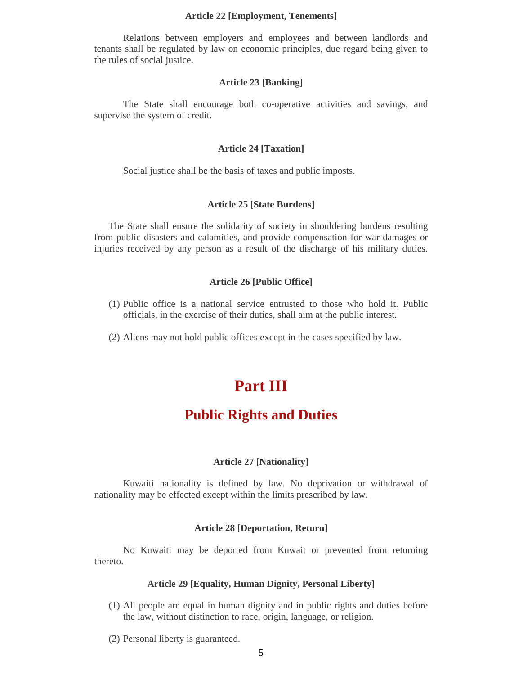#### **Article 22 [Employment, Tenements]**

Relations between employers and employees and between landlords and tenants shall be regulated by law on economic principles, due regard being given to the rules of social justice.

#### **Article 23 [Banking]**

The State shall encourage both co-operative activities and savings, and supervise the system of credit.

#### **Article 24 [Taxation]**

Social justice shall be the basis of taxes and public imposts.

#### **Article 25 [State Burdens]**

The State shall ensure the solidarity of society in shouldering burdens resulting from public disasters and calamities, and provide compensation for war damages or injuries received by any person as a result of the discharge of his military duties.

# **Article 26 [Public Office]**

- (1) Public office is a national service entrusted to those who hold it. Public officials, in the exercise of their duties, shall aim at the public interest.
- (2) Aliens may not hold public offices except in the cases specified by law.

# **Part III**

# **Public Rights and Duties**

# **Article 27 [Nationality]**

Kuwaiti nationality is defined by law. No deprivation or withdrawal of nationality may be effected except within the limits prescribed by law.

#### **Article 28 [Deportation, Return]**

No Kuwaiti may be deported from Kuwait or prevented from returning thereto.

# **Article 29 [Equality, Human Dignity, Personal Liberty]**

- (1) All people are equal in human dignity and in public rights and duties before the law, without distinction to race, origin, language, or religion.
- (2) Personal liberty is guaranteed.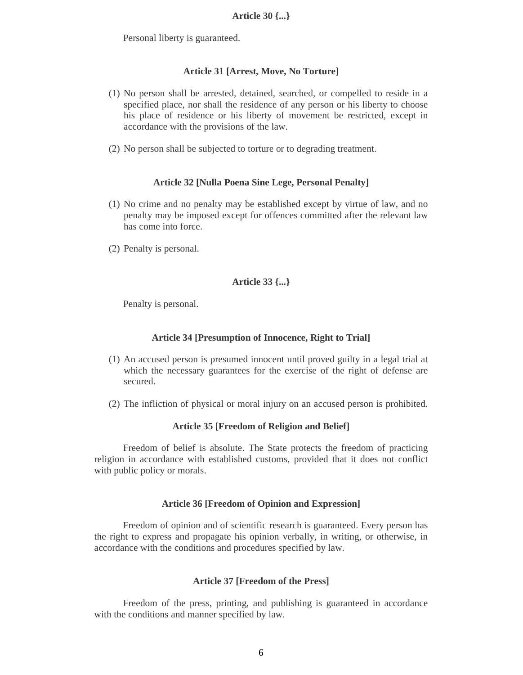Personal liberty is guaranteed.

# **Article 31 [Arrest, Move, No Torture]**

- (1) No person shall be arrested, detained, searched, or compelled to reside in a specified place, nor shall the residence of any person or his liberty to choose his place of residence or his liberty of movement be restricted, except in accordance with the provisions of the law.
- (2) No person shall be subjected to torture or to degrading treatment.

# **Article 32 [Nulla Poena Sine Lege, Personal Penalty]**

- (1) No crime and no penalty may be established except by virtue of law, and no penalty may be imposed except for offences committed after the relevant law has come into force.
- (2) Penalty is personal.

# **Article 33 {...}**

Penalty is personal.

## **Article 34 [Presumption of Innocence, Right to Trial]**

- (1) An accused person is presumed innocent until proved guilty in a legal trial at which the necessary guarantees for the exercise of the right of defense are secured.
- (2) The infliction of physical or moral injury on an accused person is prohibited.

## **Article 35 [Freedom of Religion and Belief]**

Freedom of belief is absolute. The State protects the freedom of practicing religion in accordance with established customs, provided that it does not conflict with public policy or morals.

#### **Article 36 [Freedom of Opinion and Expression]**

Freedom of opinion and of scientific research is guaranteed. Every person has the right to express and propagate his opinion verbally, in writing, or otherwise, in accordance with the conditions and procedures specified by law.

#### **Article 37 [Freedom of the Press]**

Freedom of the press, printing, and publishing is guaranteed in accordance with the conditions and manner specified by law.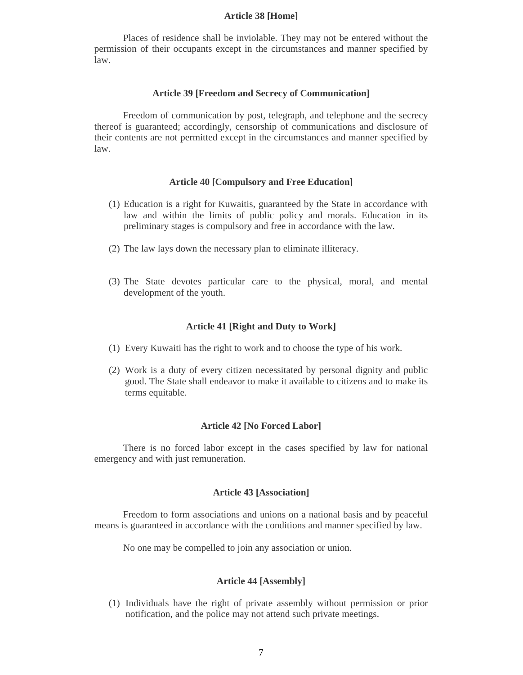#### **Article 38 [Home]**

Places of residence shall be inviolable. They may not be entered without the permission of their occupants except in the circumstances and manner specified by law.

#### **Article 39 [Freedom and Secrecy of Communication]**

Freedom of communication by post, telegraph, and telephone and the secrecy thereof is guaranteed; accordingly, censorship of communications and disclosure of their contents are not permitted except in the circumstances and manner specified by law.

#### **Article 40 [Compulsory and Free Education]**

- (1) Education is a right for Kuwaitis, guaranteed by the State in accordance with law and within the limits of public policy and morals. Education in its preliminary stages is compulsory and free in accordance with the law.
- (2) The law lays down the necessary plan to eliminate illiteracy.
- (3) The State devotes particular care to the physical, moral, and mental development of the youth.

#### **Article 41 [Right and Duty to Work]**

- (1) Every Kuwaiti has the right to work and to choose the type of his work.
- (2) Work is a duty of every citizen necessitated by personal dignity and public good. The State shall endeavor to make it available to citizens and to make its terms equitable.

#### **Article 42 [No Forced Labor]**

There is no forced labor except in the cases specified by law for national emergency and with just remuneration.

#### **Article 43 [Association]**

Freedom to form associations and unions on a national basis and by peaceful means is guaranteed in accordance with the conditions and manner specified by law.

No one may be compelled to join any association or union.

#### **Article 44 [Assembly]**

(1) Individuals have the right of private assembly without permission or prior notification, and the police may not attend such private meetings.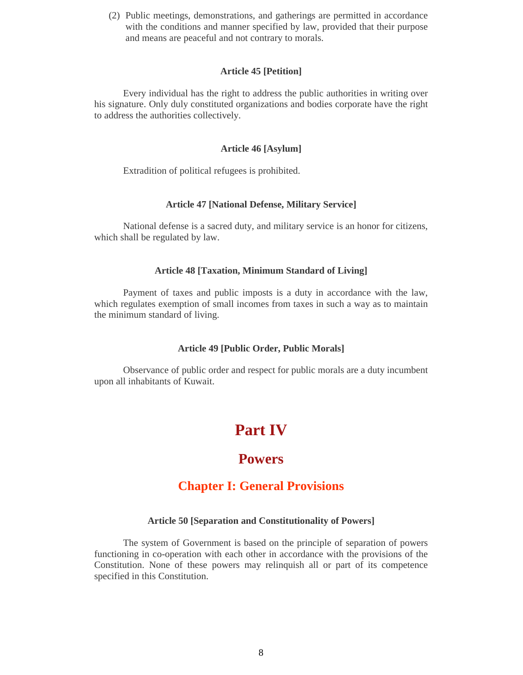(2) Public meetings, demonstrations, and gatherings are permitted in accordance with the conditions and manner specified by law, provided that their purpose and means are peaceful and not contrary to morals.

# **Article 45 [Petition]**

Every individual has the right to address the public authorities in writing over his signature. Only duly constituted organizations and bodies corporate have the right to address the authorities collectively.

# **Article 46 [Asylum]**

Extradition of political refugees is prohibited.

#### **Article 47 [National Defense, Military Service]**

National defense is a sacred duty, and military service is an honor for citizens, which shall be regulated by law.

#### **Article 48 [Taxation, Minimum Standard of Living]**

Payment of taxes and public imposts is a duty in accordance with the law, which regulates exemption of small incomes from taxes in such a way as to maintain the minimum standard of living.

#### **Article 49 [Public Order, Public Morals]**

Observance of public order and respect for public morals are a duty incumbent upon all inhabitants of Kuwait.

# **Part IV**

# **Powers**

# **Chapter I: General Provisions**

#### **Article 50 [Separation and Constitutionality of Powers]**

The system of Government is based on the principle of separation of powers functioning in co-operation with each other in accordance with the provisions of the Constitution. None of these powers may relinquish all or part of its competence specified in this Constitution.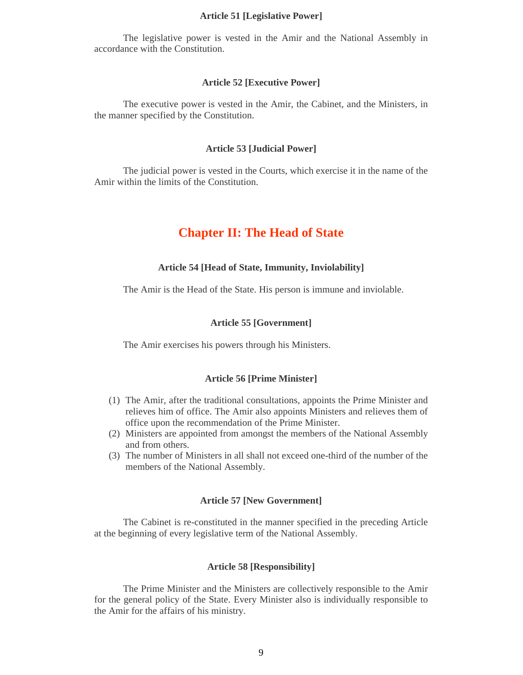#### **Article 51 [Legislative Power]**

The legislative power is vested in the Amir and the National Assembly in accordance with the Constitution.

#### **Article 52 [Executive Power]**

The executive power is vested in the Amir, the Cabinet, and the Ministers, in the manner specified by the Constitution.

#### **Article 53 [Judicial Power]**

The judicial power is vested in the Courts, which exercise it in the name of the Amir within the limits of the Constitution.

# **Chapter II: The Head of State**

#### **Article 54 [Head of State, Immunity, Inviolability]**

The Amir is the Head of the State. His person is immune and inviolable.

### **Article 55 [Government]**

The Amir exercises his powers through his Ministers.

# **Article 56 [Prime Minister]**

- (1) The Amir, after the traditional consultations, appoints the Prime Minister and relieves him of office. The Amir also appoints Ministers and relieves them of office upon the recommendation of the Prime Minister.
- (2) Ministers are appointed from amongst the members of the National Assembly and from others.
- (3) The number of Ministers in all shall not exceed one-third of the number of the members of the National Assembly.

#### **Article 57 [New Government]**

The Cabinet is re-constituted in the manner specified in the preceding Article at the beginning of every legislative term of the National Assembly.

#### **Article 58 [Responsibility]**

The Prime Minister and the Ministers are collectively responsible to the Amir for the general policy of the State. Every Minister also is individually responsible to the Amir for the affairs of his ministry.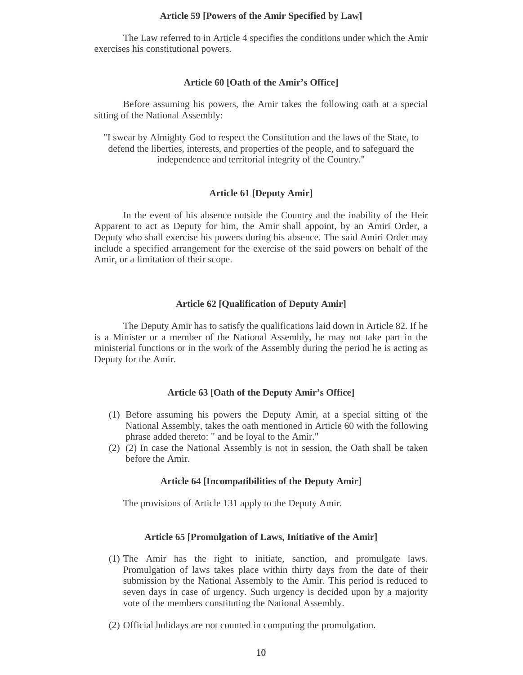#### **Article 59 [Powers of the Amir Specified by Law]**

The Law referred to in Article 4 specifies the conditions under which the Amir exercises his constitutional powers.

#### **Article 60 [Oath of the Amir's Office]**

Before assuming his powers, the Amir takes the following oath at a special sitting of the National Assembly:

"I swear by Almighty God to respect the Constitution and the laws of the State, to defend the liberties, interests, and properties of the people, and to safeguard the independence and territorial integrity of the Country."

# **Article 61 [Deputy Amir]**

In the event of his absence outside the Country and the inability of the Heir Apparent to act as Deputy for him, the Amir shall appoint, by an Amiri Order, a Deputy who shall exercise his powers during his absence. The said Amiri Order may include a specified arrangement for the exercise of the said powers on behalf of the Amir, or a limitation of their scope.

### **Article 62 [Qualification of Deputy Amir]**

The Deputy Amir has to satisfy the qualifications laid down in Article 82. If he is a Minister or a member of the National Assembly, he may not take part in the ministerial functions or in the work of the Assembly during the period he is acting as Deputy for the Amir.

# **Article 63 [Oath of the Deputy Amir's Office]**

- (1) Before assuming his powers the Deputy Amir, at a special sitting of the National Assembly, takes the oath mentioned in Article 60 with the following phrase added thereto: " and be loyal to the Amir."
- (2) (2) In case the National Assembly is not in session, the Oath shall be taken before the Amir.

## **Article 64 [Incompatibilities of the Deputy Amir]**

The provisions of Article 131 apply to the Deputy Amir.

# **Article 65 [Promulgation of Laws, Initiative of the Amir]**

- (1) The Amir has the right to initiate, sanction, and promulgate laws. Promulgation of laws takes place within thirty days from the date of their submission by the National Assembly to the Amir. This period is reduced to seven days in case of urgency. Such urgency is decided upon by a majority vote of the members constituting the National Assembly.
- (2) Official holidays are not counted in computing the promulgation.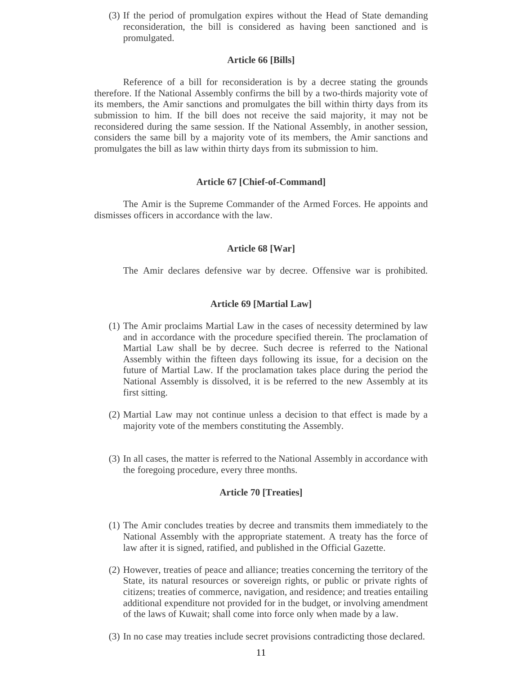(3) If the period of promulgation expires without the Head of State demanding reconsideration, the bill is considered as having been sanctioned and is promulgated.

#### **Article 66 [Bills]**

Reference of a bill for reconsideration is by a decree stating the grounds therefore. If the National Assembly confirms the bill by a two-thirds majority vote of its members, the Amir sanctions and promulgates the bill within thirty days from its submission to him. If the bill does not receive the said majority, it may not be reconsidered during the same session. If the National Assembly, in another session, considers the same bill by a majority vote of its members, the Amir sanctions and promulgates the bill as law within thirty days from its submission to him.

#### **Article 67 [Chief-of-Command]**

The Amir is the Supreme Commander of the Armed Forces. He appoints and dismisses officers in accordance with the law.

#### **Article 68 [War]**

The Amir declares defensive war by decree. Offensive war is prohibited.

## **Article 69 [Martial Law]**

- (1) The Amir proclaims Martial Law in the cases of necessity determined by law and in accordance with the procedure specified therein. The proclamation of Martial Law shall be by decree. Such decree is referred to the National Assembly within the fifteen days following its issue, for a decision on the future of Martial Law. If the proclamation takes place during the period the National Assembly is dissolved, it is be referred to the new Assembly at its first sitting.
- (2) Martial Law may not continue unless a decision to that effect is made by a majority vote of the members constituting the Assembly.
- (3) In all cases, the matter is referred to the National Assembly in accordance with the foregoing procedure, every three months.

## **Article 70 [Treaties]**

- (1) The Amir concludes treaties by decree and transmits them immediately to the National Assembly with the appropriate statement. A treaty has the force of law after it is signed, ratified, and published in the Official Gazette.
- (2) However, treaties of peace and alliance; treaties concerning the territory of the State, its natural resources or sovereign rights, or public or private rights of citizens; treaties of commerce, navigation, and residence; and treaties entailing additional expenditure not provided for in the budget, or involving amendment of the laws of Kuwait; shall come into force only when made by a law.
- (3) In no case may treaties include secret provisions contradicting those declared.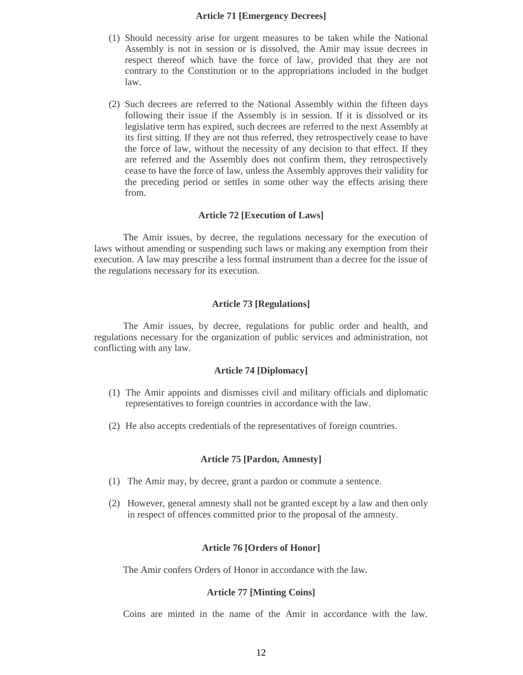#### **Article 71 [Emergency Decrees]**

- (1) Should necessity arise for urgent measures to be taken while the National Assembly is not in session or is dissolved, the Amir may issue decrees in respect thereof which have the force of law, provided that they are not contrary to the Constitution or to the appropriations included in the budget law.
- (2) Such decrees are referred to the National Assembly within the fifteen days following their issue if the Assembly is in session. If it is dissolved or its legislative term has expired, such decrees are referred to the next Assembly at its first sitting. If they are not thus referred, they retrospectively cease to have the force of law, without the necessity of any decision to that effect. If they are referred and the Assembly does not confirm them, they retrospectively cease to have the force of law, unless the Assembly approves their validity for the preceding period or settles in some other way the effects arising there from.

### **Article 72 [Execution of Laws]**

The Amir issues, by decree, the regulations necessary for the execution of laws without amending or suspending such laws or making any exemption from their execution. A law may prescribe a less formal instrument than a decree for the issue of the regulations necessary for its execution.

#### **Article 73 [Regulations]**

The Amir issues, by decree, regulations for public order and health, and regulations necessary for the organization of public services and administration, not conflicting with any law.

#### **Article 74 [Diplomacy]**

- (1) The Amir appoints and dismisses civil and military officials and diplomatic representatives to foreign countries in accordance with the law.
- (2) He also accepts credentials of the representatives of foreign countries.

#### **Article 75 [Pardon, Amnesty]**

- (1) The Amir may, by decree, grant a pardon or commute a sentence.
- (2) However, general amnesty shall not be granted except by a law and then only in respect of offences committed prior to the proposal of the amnesty.

#### **Article 76 [Orders of Honor]**

The Amir confers Orders of Honor in accordance with the law.

# **Article 77 [Minting Coins]**

Coins are minted in the name of the Amir in accordance with the law.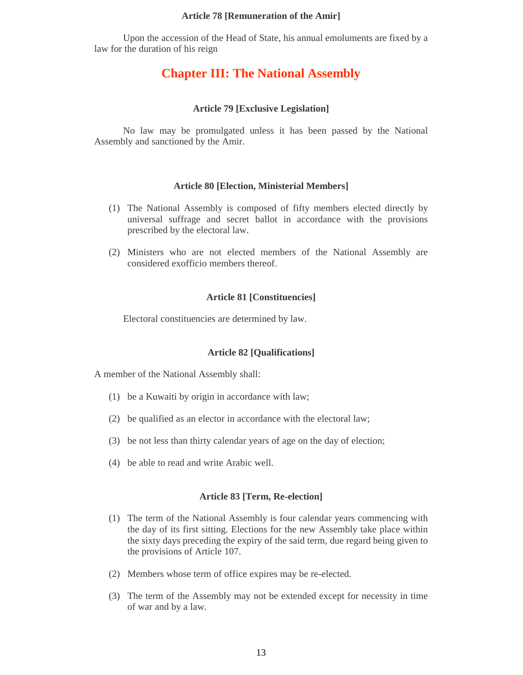#### **Article 78 [Remuneration of the Amir]**

Upon the accession of the Head of State, his annual emoluments are fixed by a law for the duration of his reign

# **Chapter III: The National Assembly**

#### **Article 79 [Exclusive Legislation]**

No law may be promulgated unless it has been passed by the National Assembly and sanctioned by the Amir.

#### **Article 80 [Election, Ministerial Members]**

- (1) The National Assembly is composed of fifty members elected directly by universal suffrage and secret ballot in accordance with the provisions prescribed by the electoral law.
- (2) Ministers who are not elected members of the National Assembly are considered exofficio members thereof.

#### **Article 81 [Constituencies]**

Electoral constituencies are determined by law.

# **Article 82 [Qualifications]**

A member of the National Assembly shall:

- (1) be a Kuwaiti by origin in accordance with law;
- (2) be qualified as an elector in accordance with the electoral law;
- (3) be not less than thirty calendar years of age on the day of election;
- (4) be able to read and write Arabic well.

#### **Article 83 [Term, Re-election]**

- (1) The term of the National Assembly is four calendar years commencing with the day of its first sitting. Elections for the new Assembly take place within the sixty days preceding the expiry of the said term, due regard being given to the provisions of Article 107.
- (2) Members whose term of office expires may be re-elected.
- (3) The term of the Assembly may not be extended except for necessity in time of war and by a law.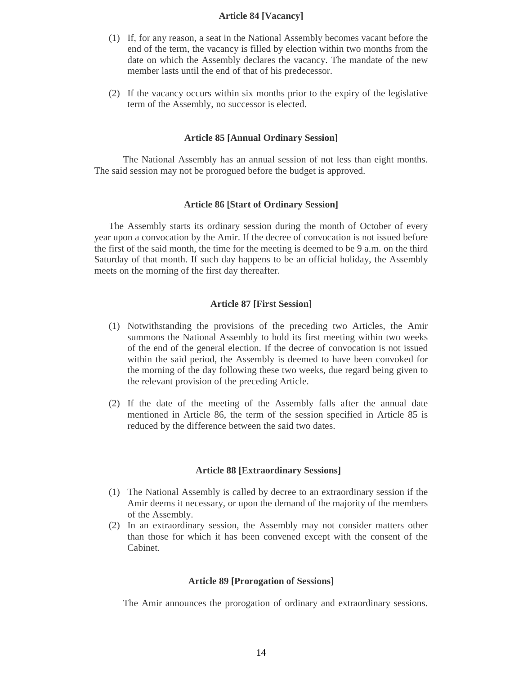# **Article 84 [Vacancy]**

- (1) If, for any reason, a seat in the National Assembly becomes vacant before the end of the term, the vacancy is filled by election within two months from the date on which the Assembly declares the vacancy. The mandate of the new member lasts until the end of that of his predecessor.
- (2) If the vacancy occurs within six months prior to the expiry of the legislative term of the Assembly, no successor is elected.

#### **Article 85 [Annual Ordinary Session]**

The National Assembly has an annual session of not less than eight months. The said session may not be prorogued before the budget is approved.

#### **Article 86 [Start of Ordinary Session]**

The Assembly starts its ordinary session during the month of October of every year upon a convocation by the Amir. If the decree of convocation is not issued before the first of the said month, the time for the meeting is deemed to be 9 a.m. on the third Saturday of that month. If such day happens to be an official holiday, the Assembly meets on the morning of the first day thereafter.

#### **Article 87 [First Session]**

- (1) Notwithstanding the provisions of the preceding two Articles, the Amir summons the National Assembly to hold its first meeting within two weeks of the end of the general election. If the decree of convocation is not issued within the said period, the Assembly is deemed to have been convoked for the morning of the day following these two weeks, due regard being given to the relevant provision of the preceding Article.
- (2) If the date of the meeting of the Assembly falls after the annual date mentioned in Article 86, the term of the session specified in Article 85 is reduced by the difference between the said two dates.

#### **Article 88 [Extraordinary Sessions]**

- (1) The National Assembly is called by decree to an extraordinary session if the Amir deems it necessary, or upon the demand of the majority of the members of the Assembly.
- (2) In an extraordinary session, the Assembly may not consider matters other than those for which it has been convened except with the consent of the Cabinet.

#### **Article 89 [Prorogation of Sessions]**

The Amir announces the prorogation of ordinary and extraordinary sessions.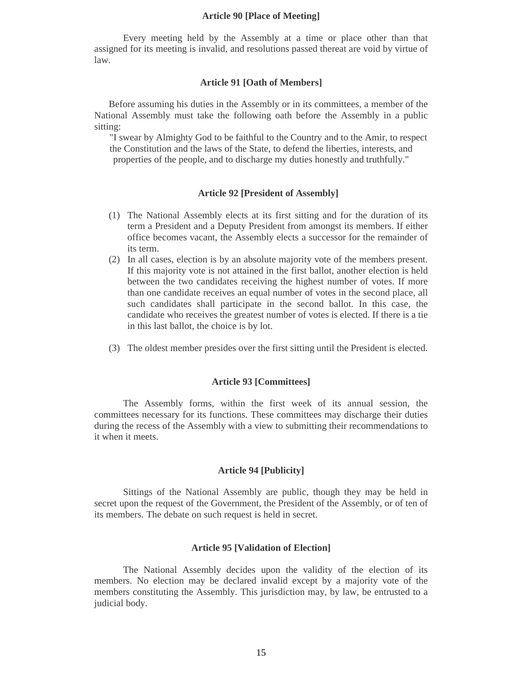#### **Article 90 [Place of Meeting]**

Every meeting held by the Assembly at a time or place other than that assigned for its meeting is invalid, and resolutions passed thereat are void by virtue of law.

#### **Article 91 [Oath of Members]**

Before assuming his duties in the Assembly or in its committees, a member of the National Assembly must take the following oath before the Assembly in a public sitting:

"I swear by Almighty God to be faithful to the Country and to the Amir, to respect the Constitution and the laws of the State, to defend the liberties, interests, and properties of the people, and to discharge my duties honestly and truthfully."

## **Article 92 [President of Assembly]**

- (1) The National Assembly elects at its first sitting and for the duration of its term a President and a Deputy President from amongst its members. If either office becomes vacant, the Assembly elects a successor for the remainder of its term.
- (2) In all cases, election is by an absolute majority vote of the members present. If this majority vote is not attained in the first ballot, another election is held between the two candidates receiving the highest number of votes. If more than one candidate receives an equal number of votes in the second place, all such candidates shall participate in the second ballot. In this case, the candidate who receives the greatest number of votes is elected. If there is a tie in this last ballot, the choice is by lot.
- (3) The oldest member presides over the first sitting until the President is elected.

#### **Article 93 [Committees]**

The Assembly forms, within the first week of its annual session, the committees necessary for its functions. These committees may discharge their duties during the recess of the Assembly with a view to submitting their recommendations to it when it meets.

#### **Article 94 [Publicity]**

Sittings of the National Assembly are public, though they may be held in secret upon the request of the Government, the President of the Assembly, or of ten of its members. The debate on such request is held in secret.

#### **Article 95 [Validation of Election]**

The National Assembly decides upon the validity of the election of its members. No election may be declared invalid except by a majority vote of the members constituting the Assembly. This jurisdiction may, by law, be entrusted to a judicial body.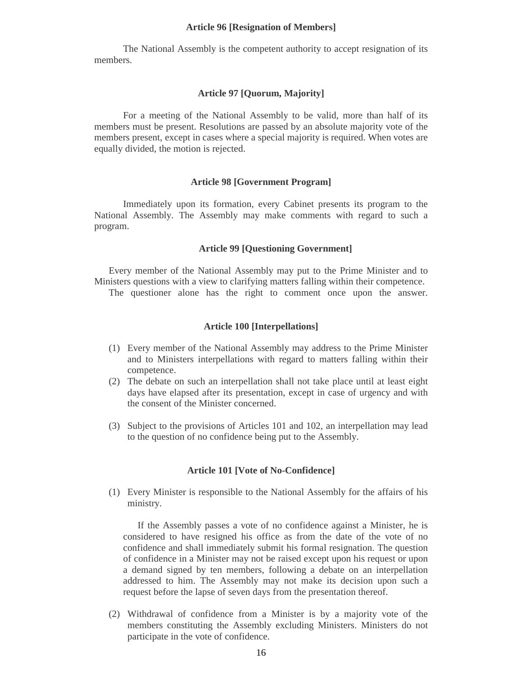#### **Article 96 [Resignation of Members]**

The National Assembly is the competent authority to accept resignation of its members.

# **Article 97 [Quorum, Majority]**

For a meeting of the National Assembly to be valid, more than half of its members must be present. Resolutions are passed by an absolute majority vote of the members present, except in cases where a special majority is required. When votes are equally divided, the motion is rejected.

#### **Article 98 [Government Program]**

Immediately upon its formation, every Cabinet presents its program to the National Assembly. The Assembly may make comments with regard to such a program.

#### **Article 99 [Questioning Government]**

Every member of the National Assembly may put to the Prime Minister and to Ministers questions with a view to clarifying matters falling within their competence.

The questioner alone has the right to comment once upon the answer.

#### **Article 100 [Interpellations]**

- (1) Every member of the National Assembly may address to the Prime Minister and to Ministers interpellations with regard to matters falling within their competence.
- (2) The debate on such an interpellation shall not take place until at least eight days have elapsed after its presentation, except in case of urgency and with the consent of the Minister concerned.
- (3) Subject to the provisions of Articles 101 and 102, an interpellation may lead to the question of no confidence being put to the Assembly.

#### **Article 101 [Vote of No-Confidence]**

(1) Every Minister is responsible to the National Assembly for the affairs of his ministry.

If the Assembly passes a vote of no confidence against a Minister, he is considered to have resigned his office as from the date of the vote of no confidence and shall immediately submit his formal resignation. The question of confidence in a Minister may not be raised except upon his request or upon a demand signed by ten members, following a debate on an interpellation addressed to him. The Assembly may not make its decision upon such a request before the lapse of seven days from the presentation thereof.

(2) Withdrawal of confidence from a Minister is by a majority vote of the members constituting the Assembly excluding Ministers. Ministers do not participate in the vote of confidence.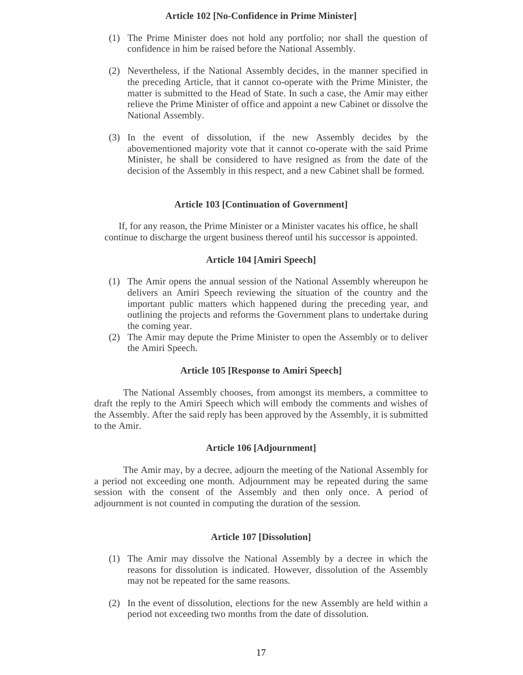# **Article 102 [No-Confidence in Prime Minister]**

- (1) The Prime Minister does not hold any portfolio; nor shall the question of confidence in him be raised before the National Assembly.
- (2) Nevertheless, if the National Assembly decides, in the manner specified in the preceding Article, that it cannot co-operate with the Prime Minister, the matter is submitted to the Head of State. In such a case, the Amir may either relieve the Prime Minister of office and appoint a new Cabinet or dissolve the National Assembly.
- (3) In the event of dissolution, if the new Assembly decides by the abovementioned majority vote that it cannot co-operate with the said Prime Minister, he shall be considered to have resigned as from the date of the decision of the Assembly in this respect, and a new Cabinet shall be formed.

#### **Article 103 [Continuation of Government]**

If, for any reason, the Prime Minister or a Minister vacates his office, he shall continue to discharge the urgent business thereof until his successor is appointed.

#### **Article 104 [Amiri Speech]**

- (1) The Amir opens the annual session of the National Assembly whereupon he delivers an Amiri Speech reviewing the situation of the country and the important public matters which happened during the preceding year, and outlining the projects and reforms the Government plans to undertake during the coming year.
- (2) The Amir may depute the Prime Minister to open the Assembly or to deliver the Amiri Speech.

#### **Article 105 [Response to Amiri Speech]**

The National Assembly chooses, from amongst its members, a committee to draft the reply to the Amiri Speech which will embody the comments and wishes of the Assembly. After the said reply has been approved by the Assembly, it is submitted to the Amir.

# **Article 106 [Adjournment]**

The Amir may, by a decree, adjourn the meeting of the National Assembly for a period not exceeding one month. Adjournment may be repeated during the same session with the consent of the Assembly and then only once. A period of adjournment is not counted in computing the duration of the session.

# **Article 107 [Dissolution]**

- (1) The Amir may dissolve the National Assembly by a decree in which the reasons for dissolution is indicated. However, dissolution of the Assembly may not be repeated for the same reasons.
- (2) In the event of dissolution, elections for the new Assembly are held within a period not exceeding two months from the date of dissolution.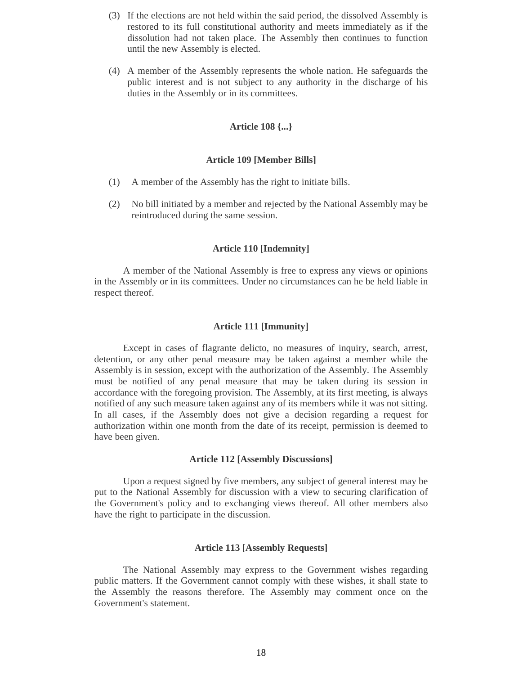- (3) If the elections are not held within the said period, the dissolved Assembly is restored to its full constitutional authority and meets immediately as if the dissolution had not taken place. The Assembly then continues to function until the new Assembly is elected.
- (4) A member of the Assembly represents the whole nation. He safeguards the public interest and is not subject to any authority in the discharge of his duties in the Assembly or in its committees.

#### **Article 108 {...}**

#### **Article 109 [Member Bills]**

- (1) A member of the Assembly has the right to initiate bills.
- (2) No bill initiated by a member and rejected by the National Assembly may be reintroduced during the same session.

### **Article 110 [Indemnity]**

A member of the National Assembly is free to express any views or opinions in the Assembly or in its committees. Under no circumstances can he be held liable in respect thereof.

#### **Article 111 [Immunity]**

Except in cases of flagrante delicto, no measures of inquiry, search, arrest, detention, or any other penal measure may be taken against a member while the Assembly is in session, except with the authorization of the Assembly. The Assembly must be notified of any penal measure that may be taken during its session in accordance with the foregoing provision. The Assembly, at its first meeting, is always notified of any such measure taken against any of its members while it was not sitting. In all cases, if the Assembly does not give a decision regarding a request for authorization within one month from the date of its receipt, permission is deemed to have been given.

#### **Article 112 [Assembly Discussions]**

Upon a request signed by five members, any subject of general interest may be put to the National Assembly for discussion with a view to securing clarification of the Government's policy and to exchanging views thereof. All other members also have the right to participate in the discussion.

#### **Article 113 [Assembly Requests]**

The National Assembly may express to the Government wishes regarding public matters. If the Government cannot comply with these wishes, it shall state to the Assembly the reasons therefore. The Assembly may comment once on the Government's statement.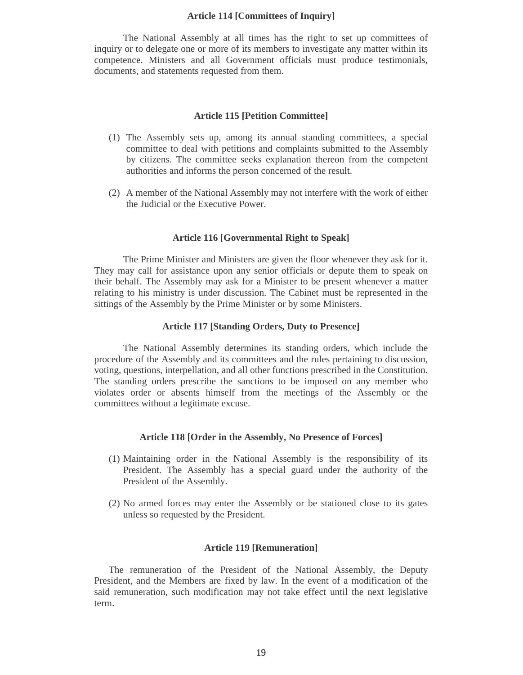#### **Article 114 [Committees of Inquiry]**

The National Assembly at all times has the right to set up committees of inquiry or to delegate one or more of its members to investigate any matter within its competence. Ministers and all Government officials must produce testimonials, documents, and statements requested from them.

### **Article 115 [Petition Committee]**

- (1) The Assembly sets up, among its annual standing committees, a special committee to deal with petitions and complaints submitted to the Assembly by citizens. The committee seeks explanation thereon from the competent authorities and informs the person concerned of the result.
- (2) A member of the National Assembly may not interfere with the work of either the Judicial or the Executive Power.

#### **Article 116 [Governmental Right to Speak]**

The Prime Minister and Ministers are given the floor whenever they ask for it. They may call for assistance upon any senior officials or depute them to speak on their behalf. The Assembly may ask for a Minister to be present whenever a matter relating to his ministry is under discussion. The Cabinet must be represented in the sittings of the Assembly by the Prime Minister or by some Ministers.

#### **Article 117 [Standing Orders, Duty to Presence]**

The National Assembly determines its standing orders, which include the procedure of the Assembly and its committees and the rules pertaining to discussion, voting, questions, interpellation, and all other functions prescribed in the Constitution. The standing orders prescribe the sanctions to be imposed on any member who violates order or absents himself from the meetings of the Assembly or the committees without a legitimate excuse.

#### **Article 118 [Order in the Assembly, No Presence of Forces]**

- (1) Maintaining order in the National Assembly is the responsibility of its President. The Assembly has a special guard under the authority of the President of the Assembly.
- (2) No armed forces may enter the Assembly or be stationed close to its gates unless so requested by the President.

#### **Article 119 [Remuneration]**

The remuneration of the President of the National Assembly, the Deputy President, and the Members are fixed by law. In the event of a modification of the said remuneration, such modification may not take effect until the next legislative term.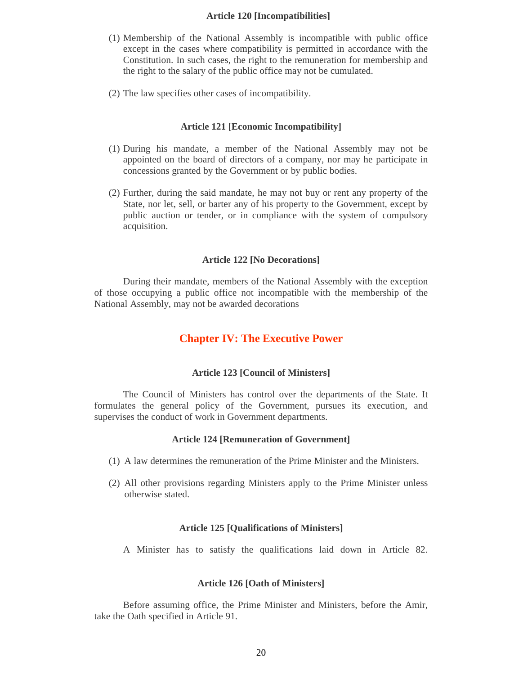# **Article 120 [Incompatibilities]**

- (1) Membership of the National Assembly is incompatible with public office except in the cases where compatibility is permitted in accordance with the Constitution. In such cases, the right to the remuneration for membership and the right to the salary of the public office may not be cumulated.
- (2) The law specifies other cases of incompatibility.

#### **Article 121 [Economic Incompatibility]**

- (1) During his mandate, a member of the National Assembly may not be appointed on the board of directors of a company, nor may he participate in concessions granted by the Government or by public bodies.
- (2) Further, during the said mandate, he may not buy or rent any property of the State, nor let, sell, or barter any of his property to the Government, except by public auction or tender, or in compliance with the system of compulsory acquisition.

#### **Article 122 [No Decorations]**

During their mandate, members of the National Assembly with the exception of those occupying a public office not incompatible with the membership of the National Assembly, may not be awarded decorations

# **Chapter IV: The Executive Power**

#### **Article 123 [Council of Ministers]**

The Council of Ministers has control over the departments of the State. It formulates the general policy of the Government, pursues its execution, and supervises the conduct of work in Government departments.

#### **Article 124 [Remuneration of Government]**

- (1) A law determines the remuneration of the Prime Minister and the Ministers.
- (2) All other provisions regarding Ministers apply to the Prime Minister unless otherwise stated.

#### **Article 125 [Qualifications of Ministers]**

A Minister has to satisfy the qualifications laid down in Article 82.

# **Article 126 [Oath of Ministers]**

Before assuming office, the Prime Minister and Ministers, before the Amir, take the Oath specified in Article 91.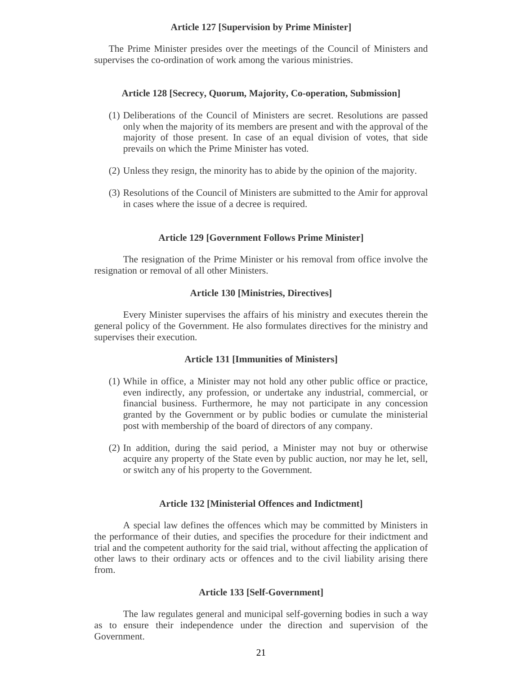#### **Article 127 [Supervision by Prime Minister]**

The Prime Minister presides over the meetings of the Council of Ministers and supervises the co-ordination of work among the various ministries.

#### **Article 128 [Secrecy, Quorum, Majority, Co-operation, Submission]**

- (1) Deliberations of the Council of Ministers are secret. Resolutions are passed only when the majority of its members are present and with the approval of the majority of those present. In case of an equal division of votes, that side prevails on which the Prime Minister has voted.
- (2) Unless they resign, the minority has to abide by the opinion of the majority.
- (3) Resolutions of the Council of Ministers are submitted to the Amir for approval in cases where the issue of a decree is required.

#### **Article 129 [Government Follows Prime Minister]**

The resignation of the Prime Minister or his removal from office involve the resignation or removal of all other Ministers.

### **Article 130 [Ministries, Directives]**

Every Minister supervises the affairs of his ministry and executes therein the general policy of the Government. He also formulates directives for the ministry and supervises their execution.

#### **Article 131 [Immunities of Ministers]**

- (1) While in office, a Minister may not hold any other public office or practice, even indirectly, any profession, or undertake any industrial, commercial, or financial business. Furthermore, he may not participate in any concession granted by the Government or by public bodies or cumulate the ministerial post with membership of the board of directors of any company.
- (2) In addition, during the said period, a Minister may not buy or otherwise acquire any property of the State even by public auction, nor may he let, sell, or switch any of his property to the Government.

#### **Article 132 [Ministerial Offences and Indictment]**

A special law defines the offences which may be committed by Ministers in the performance of their duties, and specifies the procedure for their indictment and trial and the competent authority for the said trial, without affecting the application of other laws to their ordinary acts or offences and to the civil liability arising there from.

#### **Article 133 [Self-Government]**

The law regulates general and municipal self-governing bodies in such a way as to ensure their independence under the direction and supervision of the Government.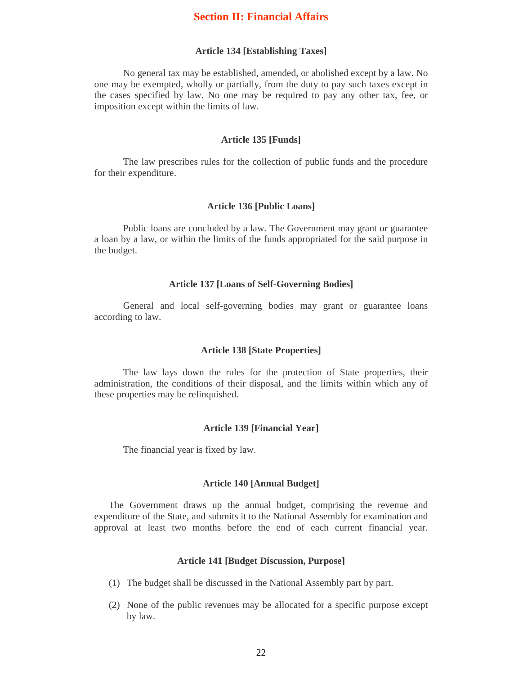# **Section II: Financial Affairs**

#### **Article 134 [Establishing Taxes]**

No general tax may be established, amended, or abolished except by a law. No one may be exempted, wholly or partially, from the duty to pay such taxes except in the cases specified by law. No one may be required to pay any other tax, fee, or imposition except within the limits of law.

#### **Article 135 [Funds]**

The law prescribes rules for the collection of public funds and the procedure for their expenditure.

# **Article 136 [Public Loans]**

Public loans are concluded by a law. The Government may grant or guarantee a loan by a law, or within the limits of the funds appropriated for the said purpose in the budget.

#### **Article 137 [Loans of Self-Governing Bodies]**

General and local self-governing bodies may grant or guarantee loans according to law.

#### **Article 138 [State Properties]**

The law lays down the rules for the protection of State properties, their administration, the conditions of their disposal, and the limits within which any of these properties may be relinquished.

#### **Article 139 [Financial Year]**

The financial year is fixed by law.

#### **Article 140 [Annual Budget]**

The Government draws up the annual budget, comprising the revenue and expenditure of the State, and submits it to the National Assembly for examination and approval at least two months before the end of each current financial year.

# **Article 141 [Budget Discussion, Purpose]**

- (1) The budget shall be discussed in the National Assembly part by part.
- (2) None of the public revenues may be allocated for a specific purpose except by law.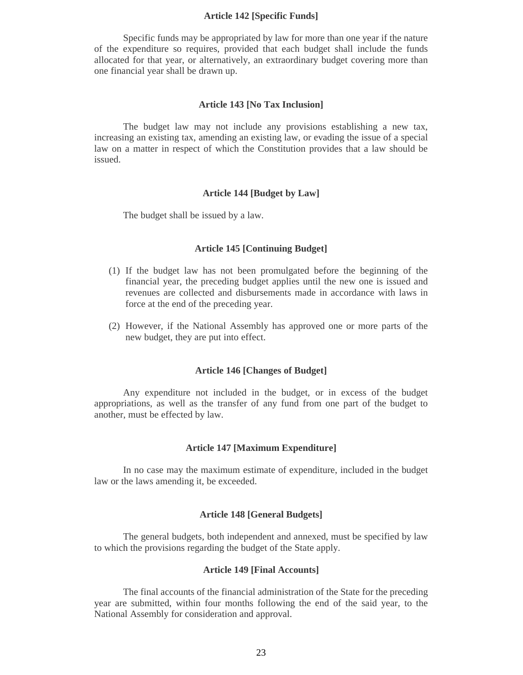#### **Article 142 [Specific Funds]**

Specific funds may be appropriated by law for more than one year if the nature of the expenditure so requires, provided that each budget shall include the funds allocated for that year, or alternatively, an extraordinary budget covering more than one financial year shall be drawn up.

#### **Article 143 [No Tax Inclusion]**

The budget law may not include any provisions establishing a new tax, increasing an existing tax, amending an existing law, or evading the issue of a special law on a matter in respect of which the Constitution provides that a law should be issued.

#### **Article 144 [Budget by Law]**

The budget shall be issued by a law.

#### **Article 145 [Continuing Budget]**

- (1) If the budget law has not been promulgated before the beginning of the financial year, the preceding budget applies until the new one is issued and revenues are collected and disbursements made in accordance with laws in force at the end of the preceding year.
- (2) However, if the National Assembly has approved one or more parts of the new budget, they are put into effect.

#### **Article 146 [Changes of Budget]**

Any expenditure not included in the budget, or in excess of the budget appropriations, as well as the transfer of any fund from one part of the budget to another, must be effected by law.

## **Article 147 [Maximum Expenditure]**

In no case may the maximum estimate of expenditure, included in the budget law or the laws amending it, be exceeded.

## **Article 148 [General Budgets]**

The general budgets, both independent and annexed, must be specified by law to which the provisions regarding the budget of the State apply.

#### **Article 149 [Final Accounts]**

The final accounts of the financial administration of the State for the preceding year are submitted, within four months following the end of the said year, to the National Assembly for consideration and approval.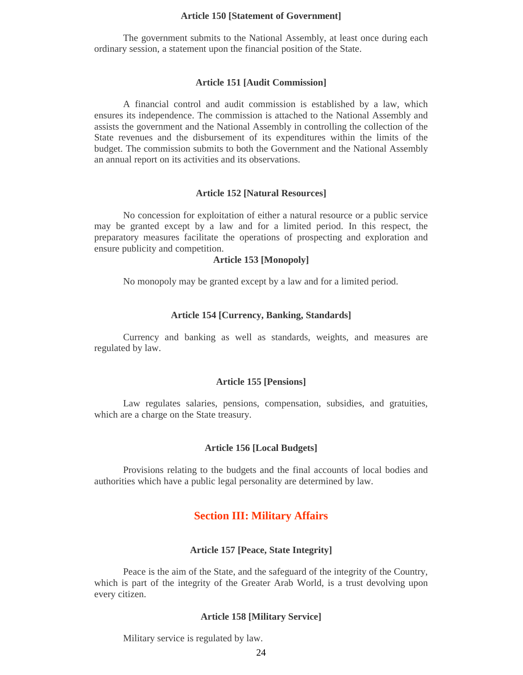#### **Article 150 [Statement of Government]**

The government submits to the National Assembly, at least once during each ordinary session, a statement upon the financial position of the State.

#### **Article 151 [Audit Commission]**

A financial control and audit commission is established by a law, which ensures its independence. The commission is attached to the National Assembly and assists the government and the National Assembly in controlling the collection of the State revenues and the disbursement of its expenditures within the limits of the budget. The commission submits to both the Government and the National Assembly an annual report on its activities and its observations.

#### **Article 152 [Natural Resources]**

No concession for exploitation of either a natural resource or a public service may be granted except by a law and for a limited period. In this respect, the preparatory measures facilitate the operations of prospecting and exploration and ensure publicity and competition.

#### **Article 153 [Monopoly]**

No monopoly may be granted except by a law and for a limited period.

#### **Article 154 [Currency, Banking, Standards]**

Currency and banking as well as standards, weights, and measures are regulated by law.

#### **Article 155 [Pensions]**

Law regulates salaries, pensions, compensation, subsidies, and gratuities, which are a charge on the State treasury.

## **Article 156 [Local Budgets]**

Provisions relating to the budgets and the final accounts of local bodies and authorities which have a public legal personality are determined by law.

# **Section III: Military Affairs**

# **Article 157 [Peace, State Integrity]**

Peace is the aim of the State, and the safeguard of the integrity of the Country, which is part of the integrity of the Greater Arab World, is a trust devolving upon every citizen.

#### **Article 158 [Military Service]**

Military service is regulated by law.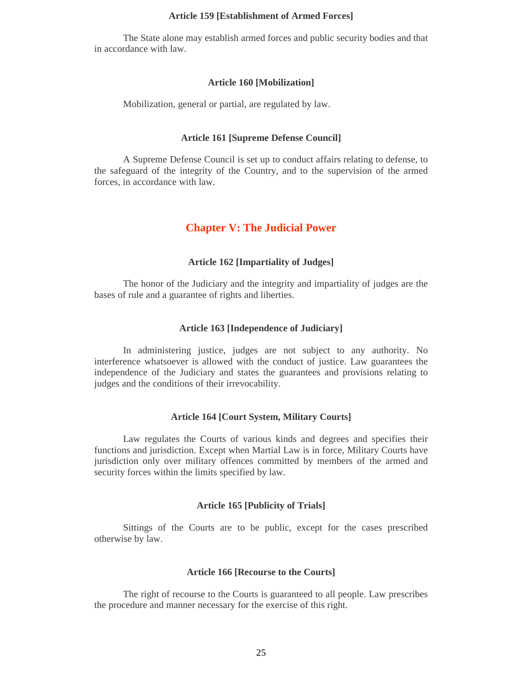#### **Article 159 [Establishment of Armed Forces]**

The State alone may establish armed forces and public security bodies and that in accordance with law.

#### **Article 160 [Mobilization]**

Mobilization, general or partial, are regulated by law.

#### **Article 161 [Supreme Defense Council]**

A Supreme Defense Council is set up to conduct affairs relating to defense, to the safeguard of the integrity of the Country, and to the supervision of the armed forces, in accordance with law.

# **Chapter V: The Judicial Power**

#### **Article 162 [Impartiality of Judges]**

The honor of the Judiciary and the integrity and impartiality of judges are the bases of rule and a guarantee of rights and liberties.

#### **Article 163 [Independence of Judiciary]**

In administering justice, judges are not subject to any authority. No interference whatsoever is allowed with the conduct of justice. Law guarantees the independence of the Judiciary and states the guarantees and provisions relating to judges and the conditions of their irrevocability.

## **Article 164 [Court System, Military Courts]**

Law regulates the Courts of various kinds and degrees and specifies their functions and jurisdiction. Except when Martial Law is in force, Military Courts have jurisdiction only over military offences committed by members of the armed and security forces within the limits specified by law.

#### **Article 165 [Publicity of Trials]**

Sittings of the Courts are to be public, except for the cases prescribed otherwise by law.

#### **Article 166 [Recourse to the Courts]**

The right of recourse to the Courts is guaranteed to all people. Law prescribes the procedure and manner necessary for the exercise of this right.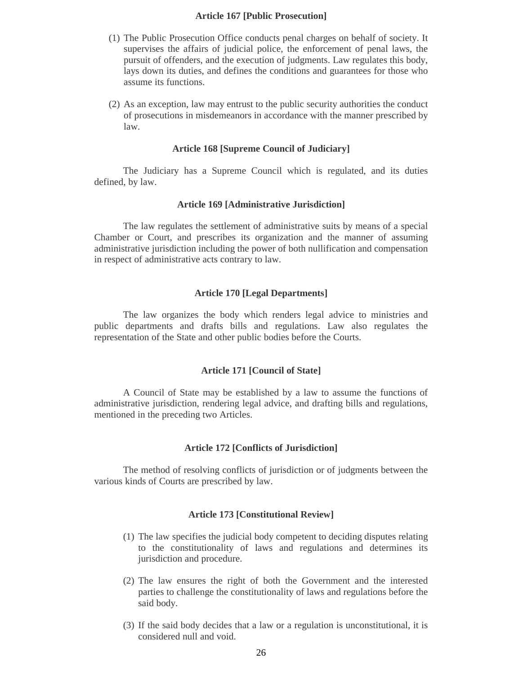# **Article 167 [Public Prosecution]**

- (1) The Public Prosecution Office conducts penal charges on behalf of society. It supervises the affairs of judicial police, the enforcement of penal laws, the pursuit of offenders, and the execution of judgments. Law regulates this body, lays down its duties, and defines the conditions and guarantees for those who assume its functions.
- (2) As an exception, law may entrust to the public security authorities the conduct of prosecutions in misdemeanors in accordance with the manner prescribed by law.

#### **Article 168 [Supreme Council of Judiciary]**

The Judiciary has a Supreme Council which is regulated, and its duties defined, by law.

#### **Article 169 [Administrative Jurisdiction]**

The law regulates the settlement of administrative suits by means of a special Chamber or Court, and prescribes its organization and the manner of assuming administrative jurisdiction including the power of both nullification and compensation in respect of administrative acts contrary to law.

### **Article 170 [Legal Departments]**

The law organizes the body which renders legal advice to ministries and public departments and drafts bills and regulations. Law also regulates the representation of the State and other public bodies before the Courts.

#### **Article 171 [Council of State]**

A Council of State may be established by a law to assume the functions of administrative jurisdiction, rendering legal advice, and drafting bills and regulations, mentioned in the preceding two Articles.

# **Article 172 [Conflicts of Jurisdiction]**

The method of resolving conflicts of jurisdiction or of judgments between the various kinds of Courts are prescribed by law.

#### **Article 173 [Constitutional Review]**

- (1) The law specifies the judicial body competent to deciding disputes relating to the constitutionality of laws and regulations and determines its jurisdiction and procedure.
- (2) The law ensures the right of both the Government and the interested parties to challenge the constitutionality of laws and regulations before the said body.
- (3) If the said body decides that a law or a regulation is unconstitutional, it is considered null and void.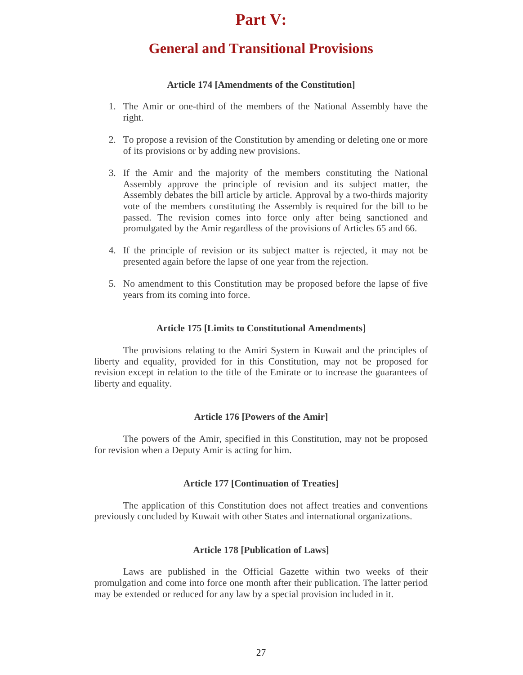# **Part V:**

# **General and Transitional Provisions**

# **Article 174 [Amendments of the Constitution]**

- 1. The Amir or one-third of the members of the National Assembly have the right.
- 2. To propose a revision of the Constitution by amending or deleting one or more of its provisions or by adding new provisions.
- 3. If the Amir and the majority of the members constituting the National Assembly approve the principle of revision and its subject matter, the Assembly debates the bill article by article. Approval by a two-thirds majority vote of the members constituting the Assembly is required for the bill to be passed. The revision comes into force only after being sanctioned and promulgated by the Amir regardless of the provisions of Articles 65 and 66.
- 4. If the principle of revision or its subject matter is rejected, it may not be presented again before the lapse of one year from the rejection.
- 5. No amendment to this Constitution may be proposed before the lapse of five years from its coming into force.

#### **Article 175 [Limits to Constitutional Amendments]**

The provisions relating to the Amiri System in Kuwait and the principles of liberty and equality, provided for in this Constitution, may not be proposed for revision except in relation to the title of the Emirate or to increase the guarantees of liberty and equality.

# **Article 176 [Powers of the Amir]**

The powers of the Amir, specified in this Constitution, may not be proposed for revision when a Deputy Amir is acting for him.

#### **Article 177 [Continuation of Treaties]**

The application of this Constitution does not affect treaties and conventions previously concluded by Kuwait with other States and international organizations.

# **Article 178 [Publication of Laws]**

Laws are published in the Official Gazette within two weeks of their promulgation and come into force one month after their publication. The latter period may be extended or reduced for any law by a special provision included in it.